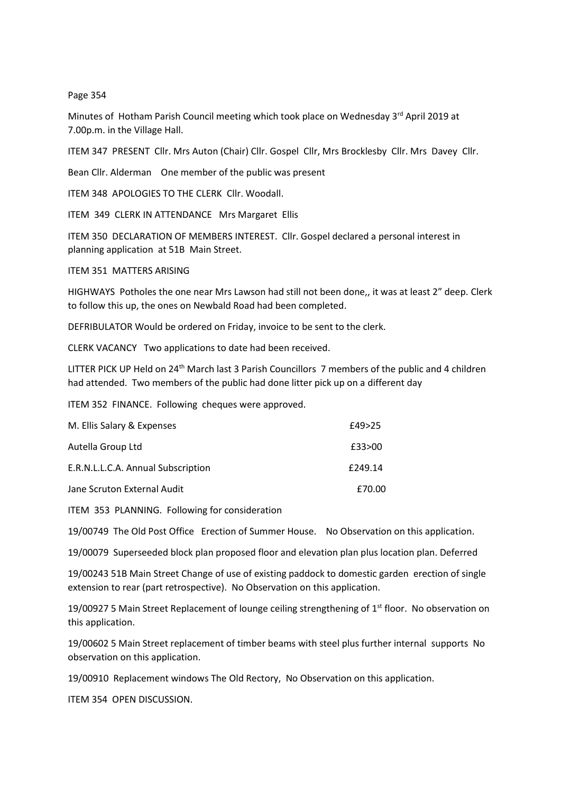## Page 354

Minutes of Hotham Parish Council meeting which took place on Wednesday 3<sup>rd</sup> April 2019 at 7.00p.m. in the Village Hall.

ITEM 347 PRESENT Cllr. Mrs Auton (Chair) Cllr. Gospel Cllr, Mrs Brocklesby Cllr. Mrs Davey Cllr.

Bean Cllr. Alderman One member of the public was present

ITEM 348 APOLOGIES TO THE CLERK Cllr. Woodall.

ITEM 349 CLERK IN ATTENDANCE Mrs Margaret Ellis

ITEM 350 DECLARATION OF MEMBERS INTEREST. Cllr. Gospel declared a personal interest in planning application at 51B Main Street.

ITEM 351 MATTERS ARISING

HIGHWAYS Potholes the one near Mrs Lawson had still not been done,, it was at least 2" deep. Clerk to follow this up, the ones on Newbald Road had been completed.

DEFRIBULATOR Would be ordered on Friday, invoice to be sent to the clerk.

CLERK VACANCY Two applications to date had been received.

LITTER PICK UP Held on 24<sup>th</sup> March last 3 Parish Councillors 7 members of the public and 4 children had attended. Two members of the public had done litter pick up on a different day

ITEM 352 FINANCE. Following cheques were approved.

| M. Ellis Salary & Expenses         | £49>25  |
|------------------------------------|---------|
| Autella Group Ltd                  | £33>00  |
| E.R.N.L.L.C.A. Annual Subscription | £249.14 |
| Jane Scruton External Audit        | £70.00  |

ITEM 353 PLANNING. Following for consideration

19/00749 The Old Post Office Erection of Summer House. No Observation on this application.

19/00079 Superseeded block plan proposed floor and elevation plan plus location plan. Deferred

19/00243 51B Main Street Change of use of existing paddock to domestic garden erection of single extension to rear (part retrospective). No Observation on this application.

19/00927 5 Main Street Replacement of lounge ceiling strengthening of  $1<sup>st</sup>$  floor. No observation on this application.

19/00602 5 Main Street replacement of timber beams with steel plus further internal supports No observation on this application.

19/00910 Replacement windows The Old Rectory, No Observation on this application.

ITEM 354 OPEN DISCUSSION.